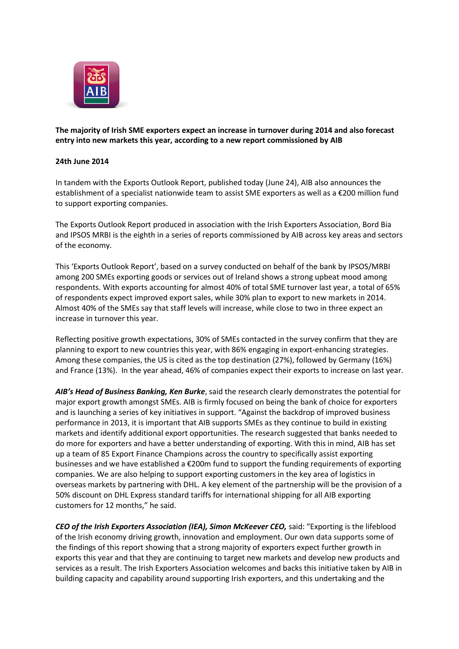

**The majority of Irish SME exporters expect an increase in turnover during 2014 and also forecast entry into new markets this year, according to a new report commissioned by AIB**

## **24th June 2014**

In tandem with the Exports Outlook Report, published today (June 24), AIB also announces the establishment of a specialist nationwide team to assist SME exporters as well as a €200 million fund to support exporting companies.

The Exports Outlook Report produced in association with the Irish Exporters Association, Bord Bia and IPSOS MRBI is the eighth in a series of reports commissioned by AIB across key areas and sectors of the economy.

This 'Exports Outlook Report', based on a survey conducted on behalf of the bank by IPSOS/MRBI among 200 SMEs exporting goods or services out of Ireland shows a strong upbeat mood among respondents. With exports accounting for almost 40% of total SME turnover last year, a total of 65% of respondents expect improved export sales, while 30% plan to export to new markets in 2014. Almost 40% of the SMEs say that staff levels will increase, while close to two in three expect an increase in turnover this year.

Reflecting positive growth expectations, 30% of SMEs contacted in the survey confirm that they are planning to export to new countries this year, with 86% engaging in export-enhancing strategies. Among these companies, the US is cited as the top destination (27%), followed by Germany (16%) and France (13%). In the year ahead, 46% of companies expect their exports to increase on last year.

*AIB's Head of Business Banking, Ken Burke*, said the research clearly demonstrates the potential for major export growth amongst SMEs. AIB is firmly focused on being the bank of choice for exporters and is launching a series of key initiatives in support. "Against the backdrop of improved business performance in 2013, it is important that AIB supports SMEs as they continue to build in existing markets and identify additional export opportunities. The research suggested that banks needed to do more for exporters and have a better understanding of exporting. With this in mind, AIB has set up a team of 85 Export Finance Champions across the country to specifically assist exporting businesses and we have established a  $\epsilon$ 200m fund to support the funding requirements of exporting companies. We are also helping to support exporting customers in the key area of logistics in overseas markets by partnering with DHL. A key element of the partnership will be the provision of a 50% discount on DHL Express standard tariffs for international shipping for all AIB exporting customers for 12 months," he said.

*CEO of the Irish Exporters Association (IEA), Simon McKeever CEO,* said: "Exporting is the lifeblood of the Irish economy driving growth, innovation and employment. Our own data supports some of the findings of this report showing that a strong majority of exporters expect further growth in exports this year and that they are continuing to target new markets and develop new products and services as a result. The Irish Exporters Association welcomes and backs this initiative taken by AIB in building capacity and capability around supporting Irish exporters, and this undertaking and the